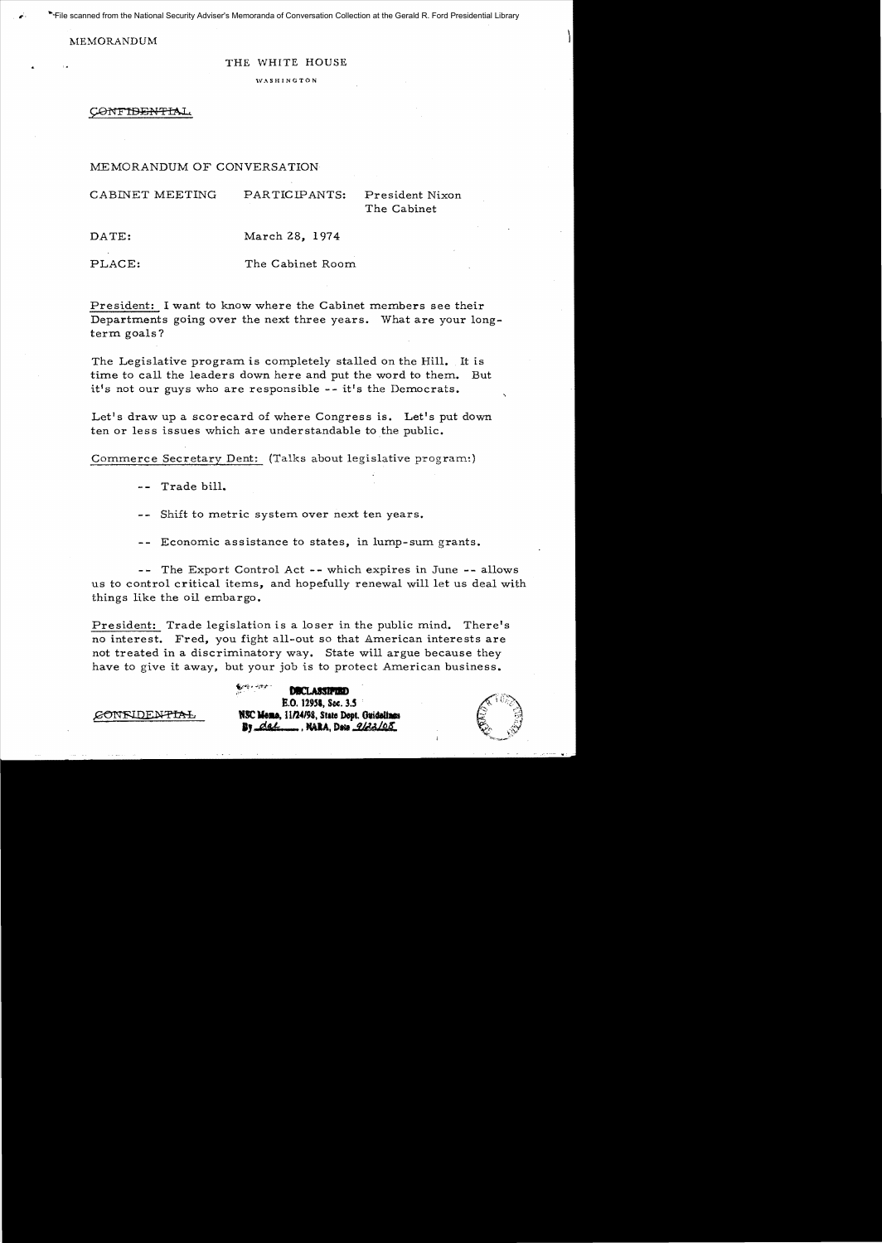File scanned from the National Security Adviser's Memoranda of Conversation Collection at the Gerald R. Ford Presidential Library

MEMORANDUM

## THE WHITE HOUSE

WASHINGTON

CONFIDENTIAL

## MEMORANDUM OF CONVERSATION

| CABINET MEETING | PARTICIPANTS:  | President Nixon<br>The Cabinet |
|-----------------|----------------|--------------------------------|
| DATE:           | March 28, 1974 |                                |

PLACE: The Cabinet Room.

President: I want to know where the Cabinet members see their Departments going over the next three years. What are your longterm goals?

The Legislative program is completely stalled on the Hill. It is time to call the leaders down here and put the word to them. But it's not our guys who are responsible  $-$ - it's the Democrats.

Let's draw up a scorecard of where Congress is. Let's put down ten or less issues which are understandable to the public.

Commerce Secretary Dent: (Talks about legislative program.)

-- Trade bill.

-- Shift to metric system over next ten years.

-- Economic assistance to states, in lump-sum grants.

-- The Export Control Act -- which expires in June -- allows us to control critical items, and hopefully renewal will let us deal with things like the oil embargo.

President: Trade legislation is a loser in the public mind. There's no interest. Fred, you fight all-out so that American interests are not treated in a discriminatory way. State will argue because they have to give it away, but your job is to protect American business.

,,~~ • .):r:.'i" - **...,... • ..-.**  DBCLASSIFTED E.O. 12958, Sec. 3.5 **NSC Meno.** 11/24/98, State Dept. Ouidelines<br>**By** dal......... NARA, Data *9122*/08.

CONFIDENTIAL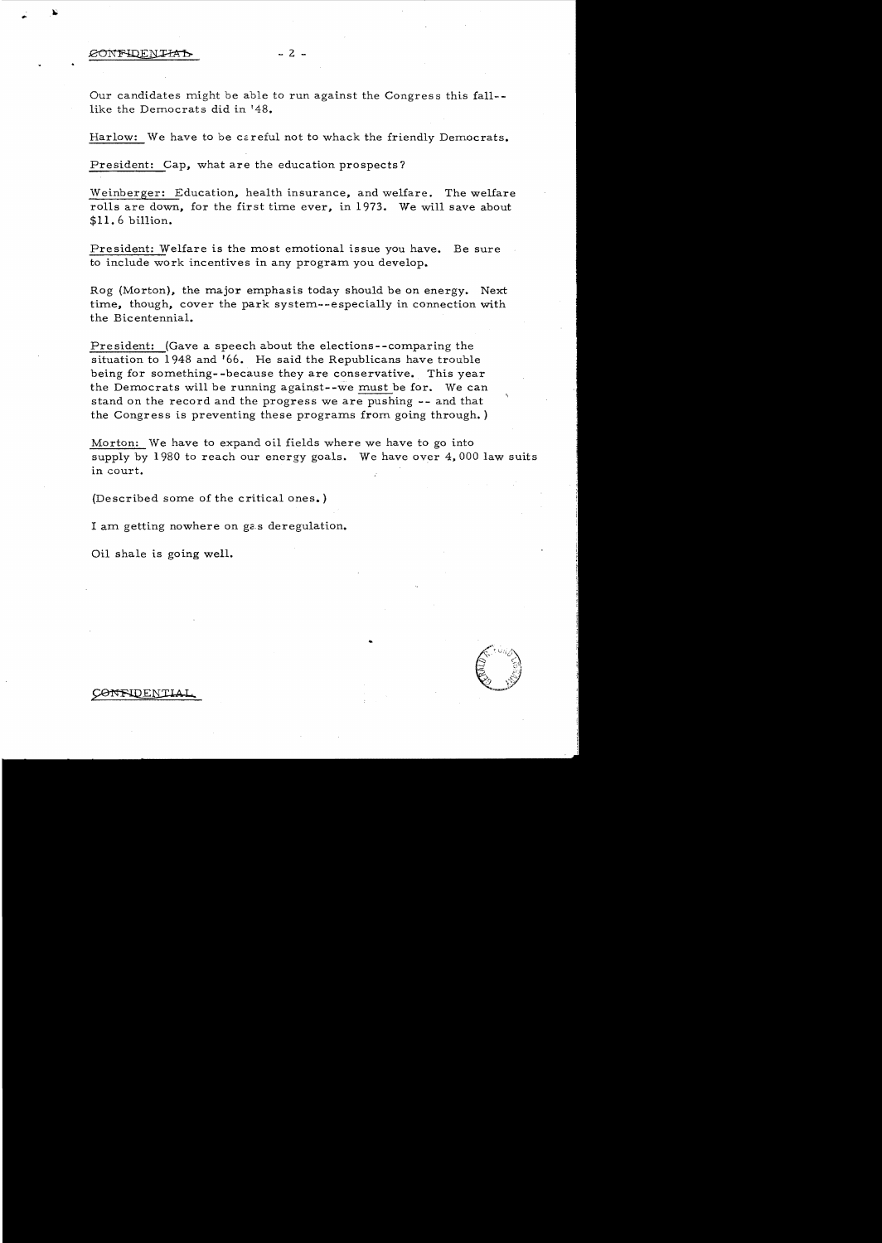Our candidates might be able to run against the Congres s this fall like the Democrats did in '48.

Harlow: We have to be ccreful not to whack the friendly Democrats.

President: Cap, what are the education prospects?

Weinberger: Education, health insurance, and welfare. The welfare rolls are down, for the first time ever, in 1973. We will save about \$11. 6 billion.

President: Welfare is the most emotional issue you have. Be sure to include work incentives in any program you develop.

Rog (Morton), the major emphasis today should be on energy. Next time, though, cover the park system--especially in connection with the Bicentennial.

President: (Gave a speech about the elections--comparing the situation to 1948 and '66. He said the Republicans have trouble being for something- -because they are conservative. This year the Democrats will be running against--we must be for. We can stand on the record and the progress we are pushing **--** and that the Congress is preventing these programs from going through. )

Morton: We have to expand oil fields where we have to go into supply by 1980 to reach our energy goals. We have over 4.000 law suits in court.

(Described some of the critical ones. )

I am getting nowhere on ga.s deregulation.

Oil shale is going well.



CONFIDENTIAI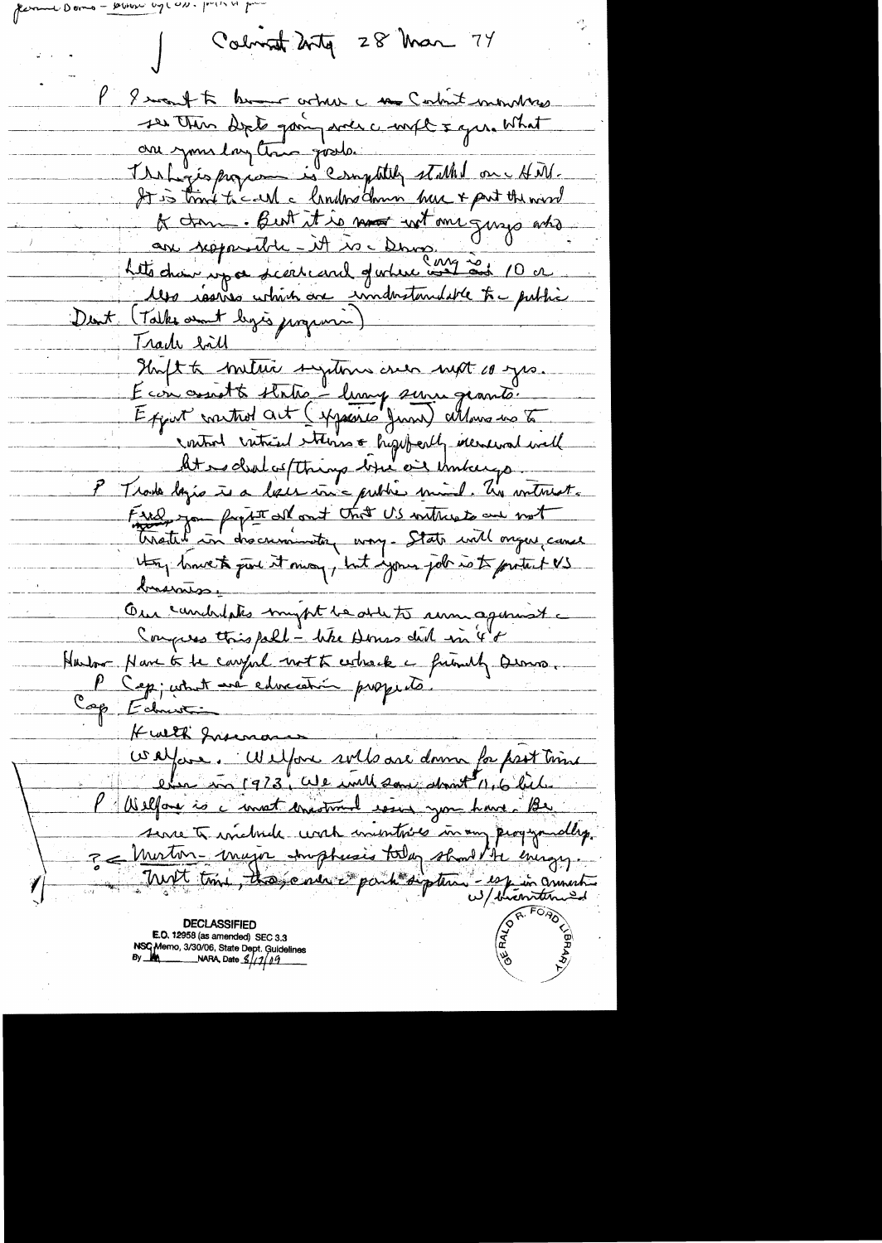$-$  pour up con.  $|r(1)|$ 

Colorat 2rty 28 Mar 74

I want to brown article und Central monters ses then dept going and compt & gree What are your layter goods. It is trank to call a lander down have & part the word K dan But it is not wit one gings ats are responsible - it is cleans. O 0 les issues which are industandable to public Dent (Talke amt legis jurgense) <u>Iradi sãu</u> Inft to metric systems are not co yes. Econ constt state - lung suru grants. Export control act (spacine June) attenus us to control critical etterne & highborth increment well At es cluel as (things but on Unkergo P Trade lazio is a less in a public mind. The witnest. Fred you fright all ant that U.S withwats and not they lowest put it may, but your job is to protect US trainisse Our coundrilates myst be able to remagement a Congress this pall - like Dones did in 48 Harbor Nave to be computed not to extract a friendly Quino. Cep ; cette t avec entrecession prospects. Cap Ednus Kwith Jusinas Wayare. Wilford sols are donne for prot time Welfare is a most encounter event you have Be serve to wichede with initiate in any peopyrially. 3 = Muston-major strupturis today should be every. Nust time, those new is parti sigetement en connection

E.O. 12958 (as amended) SEC 3.3 NSC Memo, 3/30/06, State Dept. Guidelines<br>By **MA** \_\_\_\_\_\_\_\_\_\_NARA, Date *S//1/09*